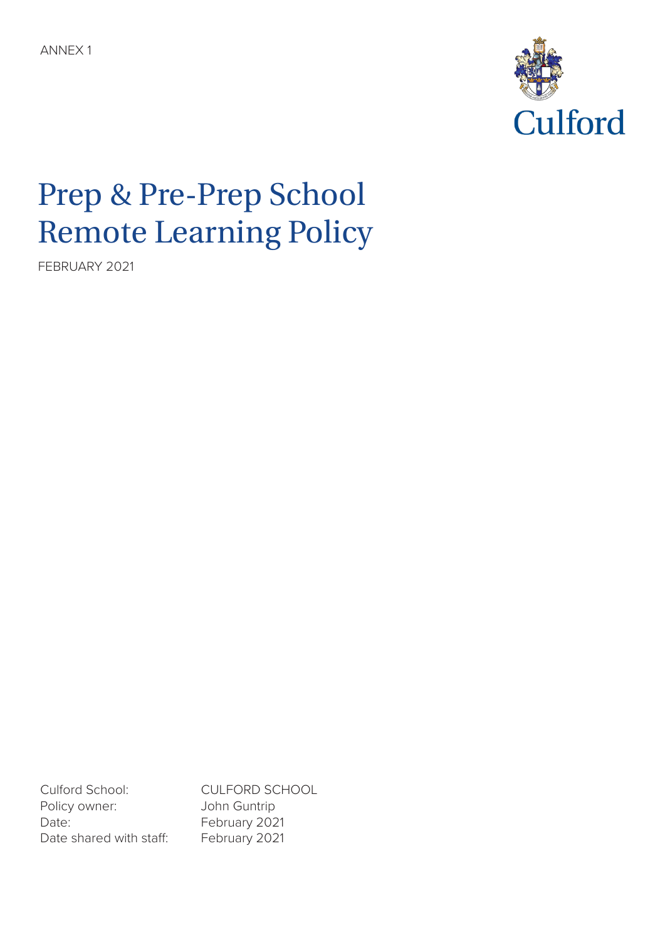

# Prep & Pre-Prep School Remote Learning Policy

FEBRUARY 2021

Culford School: CULFORD SCHOOL Policy owner: John Guntrip Date: February 2021 Date shared with staff: February 2021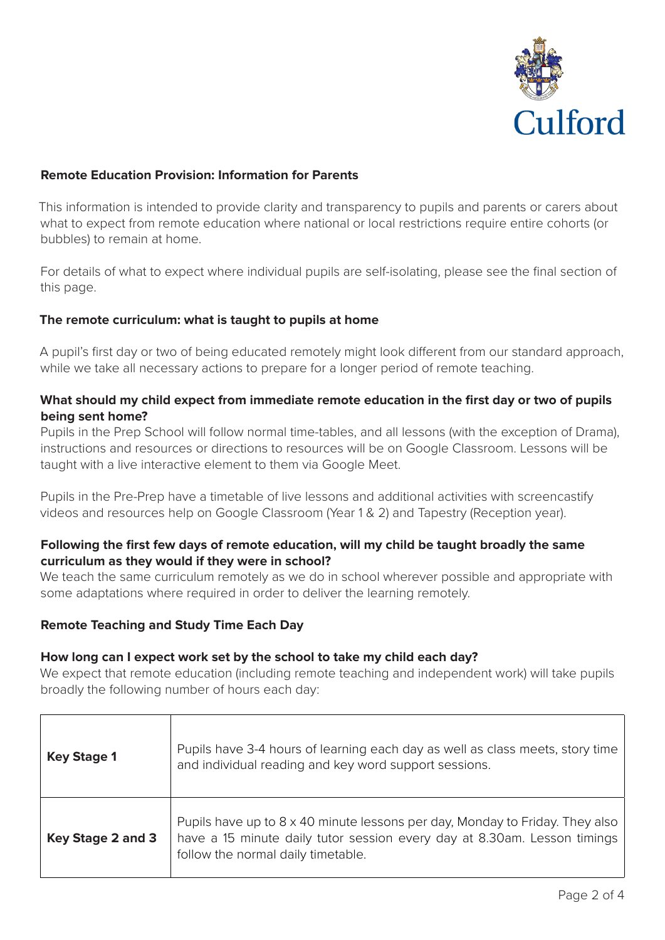

## **Remote Education Provision: Information for Parents**

This information is intended to provide clarity and transparency to pupils and parents or carers about what to expect from remote education where national or local restrictions require entire cohorts (or bubbles) to remain at home.

For details of what to expect where individual pupils are self-isolating, please see the final section of this page.

#### **The remote curriculum: what is taught to pupils at home**

A pupil's first day or two of being educated remotely might look different from our standard approach, while we take all necessary actions to prepare for a longer period of remote teaching.

# **What should my child expect from immediate remote education in the first day or two of pupils being sent home?**

Pupils in the Prep School will follow normal time-tables, and all lessons (with the exception of Drama), instructions and resources or directions to resources will be on Google Classroom. Lessons will be taught with a live interactive element to them via Google Meet.

Pupils in the Pre-Prep have a timetable of live lessons and additional activities with screencastify videos and resources help on Google Classroom (Year 1 & 2) and Tapestry (Reception year).

## **Following the first few days of remote education, will my child be taught broadly the same curriculum as they would if they were in school?**

We teach the same curriculum remotely as we do in school wherever possible and appropriate with some adaptations where required in order to deliver the learning remotely.

#### **Remote Teaching and Study Time Each Day**

#### **How long can I expect work set by the school to take my child each day?**

We expect that remote education (including remote teaching and independent work) will take pupils broadly the following number of hours each day:

| <b>Key Stage 1</b> | Pupils have 3-4 hours of learning each day as well as class meets, story time<br>and individual reading and key word support sessions.                                                         |
|--------------------|------------------------------------------------------------------------------------------------------------------------------------------------------------------------------------------------|
| Key Stage 2 and 3  | Pupils have up to 8 x 40 minute lessons per day, Monday to Friday. They also<br>have a 15 minute daily tutor session every day at 8.30am. Lesson timings<br>follow the normal daily timetable. |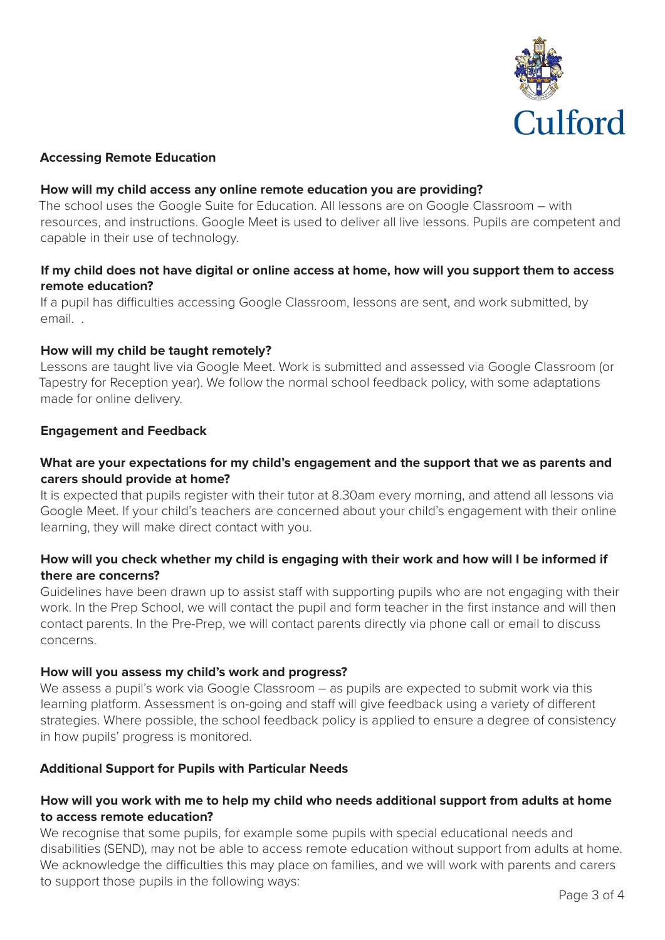

## **Accessing Remote Education**

#### **How will my child access any online remote education you are providing?**

The school uses the Google Suite for Education. All lessons are on Google Classroom – with resources, and instructions. Google Meet is used to deliver all live lessons. Pupils are competent and capable in their use of technology.

## **If my child does not have digital or online access at home, how will you support them to access remote education?**

If a pupil has difficulties accessing Google Classroom, lessons are sent, and work submitted, by email. .

## **How will my child be taught remotely?**

Lessons are taught live via Google Meet. Work is submitted and assessed via Google Classroom (or Tapestry for Reception year). We follow the normal school feedback policy, with some adaptations made for online delivery.

#### **Engagement and Feedback**

# **What are your expectations for my child's engagement and the support that we as parents and carers should provide at home?**

It is expected that pupils register with their tutor at 8.30am every morning, and attend all lessons via Google Meet. If your child's teachers are concerned about your child's engagement with their online learning, they will make direct contact with you.

# **How will you check whether my child is engaging with their work and how will I be informed if there are concerns?**

Guidelines have been drawn up to assist staff with supporting pupils who are not engaging with their work. In the Prep School, we will contact the pupil and form teacher in the first instance and will then contact parents. In the Pre-Prep, we will contact parents directly via phone call or email to discuss concerns.

#### **How will you assess my child's work and progress?**

We assess a pupil's work via Google Classroom - as pupils are expected to submit work via this learning platform. Assessment is on-going and staff will give feedback using a variety of different strategies. Where possible, the school feedback policy is applied to ensure a degree of consistency in how pupils' progress is monitored.

#### **Additional Support for Pupils with Particular Needs**

## **How will you work with me to help my child who needs additional support from adults at home to access remote education?**

We recognise that some pupils, for example some pupils with special educational needs and disabilities (SEND), may not be able to access remote education without support from adults at home. We acknowledge the difficulties this may place on families, and we will work with parents and carers to support those pupils in the following ways: